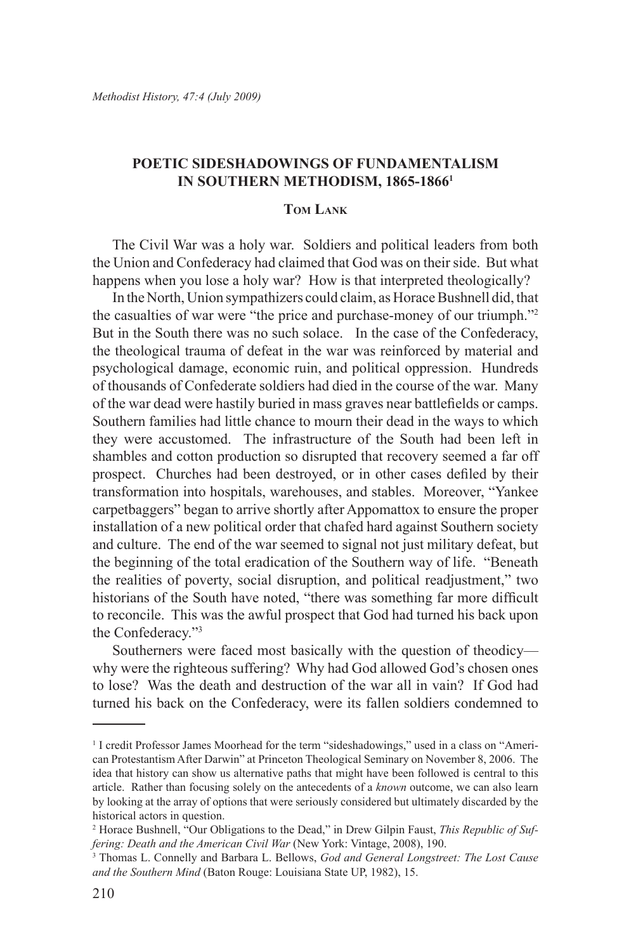# **Poetic Sideshadowings of Fundamentalism in Southern Methodism, 1865-18661**

## **Tom Lank**

The Civil War was a holy war. Soldiers and political leaders from both the Union and Confederacy had claimed that God was on their side. But what happens when you lose a holy war? How is that interpreted theologically?

In the North, Union sympathizers could claim, as Horace Bushnell did, that the casualties of war were "the price and purchase-money of our triumph."2 But in the South there was no such solace. In the case of the Confederacy, the theological trauma of defeat in the war was reinforced by material and psychological damage, economic ruin, and political oppression. Hundreds of thousands of Confederate soldiers had died in the course of the war. Many of the war dead were hastily buried in mass graves near battlefields or camps. Southern families had little chance to mourn their dead in the ways to which they were accustomed. The infrastructure of the South had been left in shambles and cotton production so disrupted that recovery seemed a far off prospect. Churches had been destroyed, or in other cases defiled by their transformation into hospitals, warehouses, and stables. Moreover, "Yankee carpetbaggers" began to arrive shortly after Appomattox to ensure the proper installation of a new political order that chafed hard against Southern society and culture. The end of the war seemed to signal not just military defeat, but the beginning of the total eradication of the Southern way of life. "Beneath the realities of poverty, social disruption, and political readjustment," two historians of the South have noted, "there was something far more difficult to reconcile. This was the awful prospect that God had turned his back upon the Confederacy."3

Southerners were faced most basically with the question of theodicy why were the righteous suffering? Why had God allowed God's chosen ones to lose? Was the death and destruction of the war all in vain? If God had turned his back on the Confederacy, were its fallen soldiers condemned to

<sup>&</sup>lt;sup>1</sup> I credit Professor James Moorhead for the term "sideshadowings," used in a class on "American Protestantism After Darwin" at Princeton Theological Seminary on November 8, 2006. The idea that history can show us alternative paths that might have been followed is central to this article. Rather than focusing solely on the antecedents of a *known* outcome, we can also learn by looking at the array of options that were seriously considered but ultimately discarded by the historical actors in question.

<sup>2</sup> Horace Bushnell, "Our Obligations to the Dead," in Drew Gilpin Faust, *This Republic of Suffering: Death and the American Civil War* (New York: Vintage, 2008), 190.

<sup>3</sup> Thomas L. Connelly and Barbara L. Bellows, *God and General Longstreet: The Lost Cause and the Southern Mind* (Baton Rouge: Louisiana State UP, 1982), 15.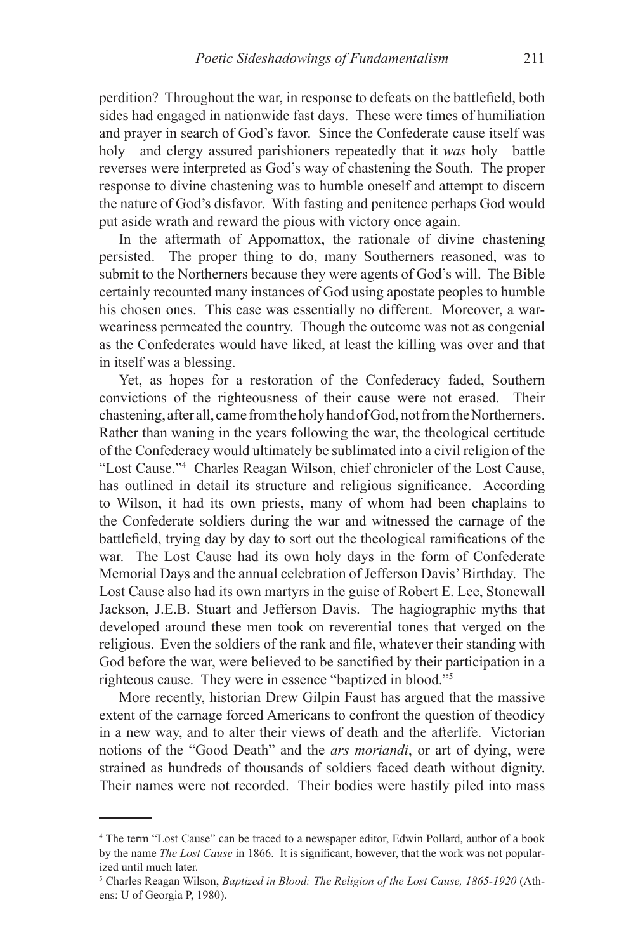perdition? Throughout the war, in response to defeats on the battlefield, both sides had engaged in nationwide fast days. These were times of humiliation and prayer in search of God's favor. Since the Confederate cause itself was holy—and clergy assured parishioners repeatedly that it *was* holy—battle reverses were interpreted as God's way of chastening the South. The proper response to divine chastening was to humble oneself and attempt to discern the nature of God's disfavor. With fasting and penitence perhaps God would put aside wrath and reward the pious with victory once again.

In the aftermath of Appomattox, the rationale of divine chastening persisted. The proper thing to do, many Southerners reasoned, was to submit to the Northerners because they were agents of God's will. The Bible certainly recounted many instances of God using apostate peoples to humble his chosen ones. This case was essentially no different. Moreover, a warweariness permeated the country. Though the outcome was not as congenial as the Confederates would have liked, at least the killing was over and that in itself was a blessing.

Yet, as hopes for a restoration of the Confederacy faded, Southern convictions of the righteousness of their cause were not erased. Their chastening, after all, came from the holy hand of God, not from the Northerners. Rather than waning in the years following the war, the theological certitude of the Confederacy would ultimately be sublimated into a civil religion of the "Lost Cause."4 Charles Reagan Wilson, chief chronicler of the Lost Cause, has outlined in detail its structure and religious significance. According to Wilson, it had its own priests, many of whom had been chaplains to the Confederate soldiers during the war and witnessed the carnage of the battlefield, trying day by day to sort out the theological ramifications of the war. The Lost Cause had its own holy days in the form of Confederate Memorial Days and the annual celebration of Jefferson Davis' Birthday. The Lost Cause also had its own martyrs in the guise of Robert E. Lee, Stonewall Jackson, J.E.B. Stuart and Jefferson Davis. The hagiographic myths that developed around these men took on reverential tones that verged on the religious. Even the soldiers of the rank and file, whatever their standing with God before the war, were believed to be sanctified by their participation in a righteous cause. They were in essence "baptized in blood."5

More recently, historian Drew Gilpin Faust has argued that the massive extent of the carnage forced Americans to confront the question of theodicy in a new way, and to alter their views of death and the afterlife. Victorian notions of the "Good Death" and the *ars moriandi*, or art of dying, were strained as hundreds of thousands of soldiers faced death without dignity. Their names were not recorded. Their bodies were hastily piled into mass

<sup>4</sup> The term "Lost Cause" can be traced to a newspaper editor, Edwin Pollard, author of a book by the name *The Lost Cause* in 1866. It is significant, however, that the work was not popularized until much later.

<sup>5</sup> Charles Reagan Wilson, *Baptized in Blood: The Religion of the Lost Cause, 1865-1920* (Athens: U of Georgia P, 1980).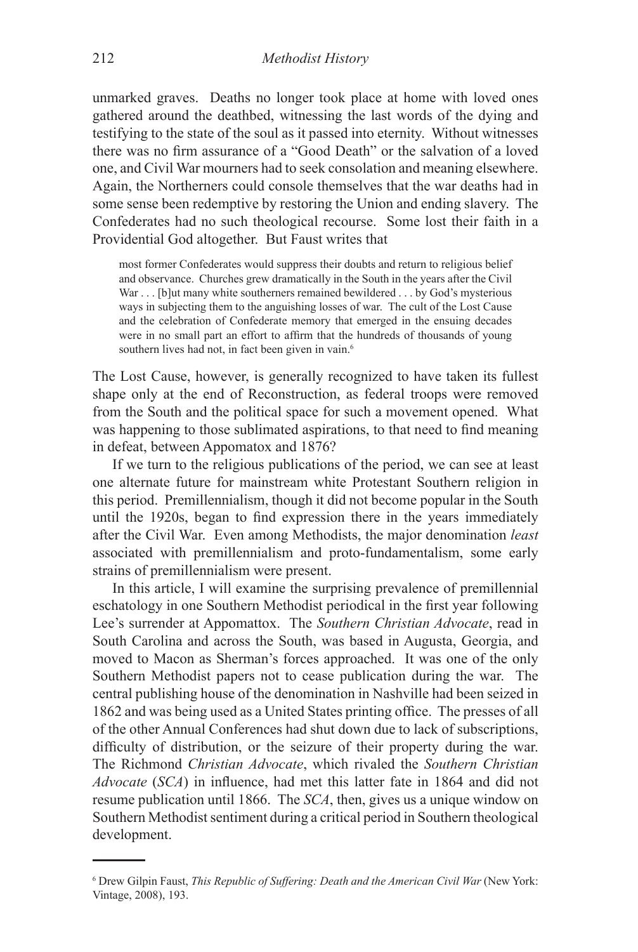unmarked graves. Deaths no longer took place at home with loved ones gathered around the deathbed, witnessing the last words of the dying and testifying to the state of the soul as it passed into eternity. Without witnesses there was no firm assurance of a "Good Death" or the salvation of a loved one, and Civil War mourners had to seek consolation and meaning elsewhere. Again, the Northerners could console themselves that the war deaths had in some sense been redemptive by restoring the Union and ending slavery. The Confederates had no such theological recourse. Some lost their faith in a Providential God altogether. But Faust writes that

most former Confederates would suppress their doubts and return to religious belief and observance. Churches grew dramatically in the South in the years after the Civil War . . . [b]ut many white southerners remained bewildered . . . by God's mysterious ways in subjecting them to the anguishing losses of war. The cult of the Lost Cause and the celebration of Confederate memory that emerged in the ensuing decades were in no small part an effort to affirm that the hundreds of thousands of young southern lives had not, in fact been given in vain.<sup>6</sup>

The Lost Cause, however, is generally recognized to have taken its fullest shape only at the end of Reconstruction, as federal troops were removed from the South and the political space for such a movement opened. What was happening to those sublimated aspirations, to that need to find meaning in defeat, between Appomatox and 1876?

If we turn to the religious publications of the period, we can see at least one alternate future for mainstream white Protestant Southern religion in this period. Premillennialism, though it did not become popular in the South until the 1920s, began to find expression there in the years immediately after the Civil War. Even among Methodists, the major denomination *least* associated with premillennialism and proto-fundamentalism, some early strains of premillennialism were present.

In this article, I will examine the surprising prevalence of premillennial eschatology in one Southern Methodist periodical in the first year following Lee's surrender at Appomattox. The *Southern Christian Advocate*, read in South Carolina and across the South, was based in Augusta, Georgia, and moved to Macon as Sherman's forces approached. It was one of the only Southern Methodist papers not to cease publication during the war. The central publishing house of the denomination in Nashville had been seized in 1862 and was being used as a United States printing office. The presses of all of the other Annual Conferences had shut down due to lack of subscriptions, difficulty of distribution, or the seizure of their property during the war. The Richmond *Christian Advocate*, which rivaled the *Southern Christian Advocate* (*SCA*) in influence, had met this latter fate in 1864 and did not resume publication until 1866. The *SCA*, then, gives us a unique window on Southern Methodist sentiment during a critical period in Southern theological development.

<sup>6</sup> Drew Gilpin Faust, *This Republic of Suffering: Death and the American Civil War* (New York: Vintage, 2008), 193.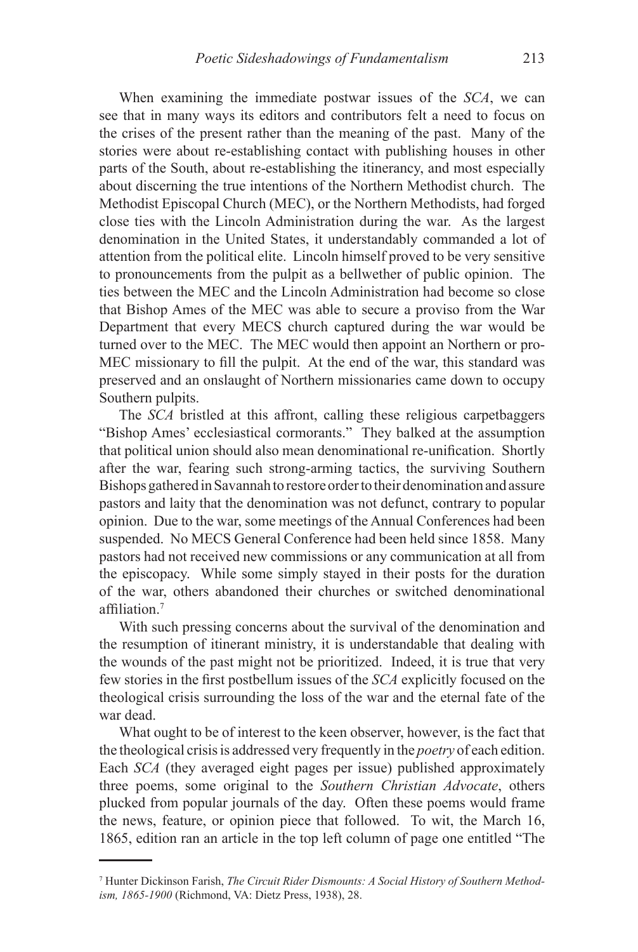When examining the immediate postwar issues of the *SCA*, we can see that in many ways its editors and contributors felt a need to focus on the crises of the present rather than the meaning of the past. Many of the stories were about re-establishing contact with publishing houses in other parts of the South, about re-establishing the itinerancy, and most especially about discerning the true intentions of the Northern Methodist church. The Methodist Episcopal Church (MEC), or the Northern Methodists, had forged close ties with the Lincoln Administration during the war. As the largest denomination in the United States, it understandably commanded a lot of attention from the political elite. Lincoln himself proved to be very sensitive to pronouncements from the pulpit as a bellwether of public opinion. The ties between the MEC and the Lincoln Administration had become so close that Bishop Ames of the MEC was able to secure a proviso from the War Department that every MECS church captured during the war would be turned over to the MEC. The MEC would then appoint an Northern or pro-MEC missionary to fill the pulpit. At the end of the war, this standard was preserved and an onslaught of Northern missionaries came down to occupy Southern pulpits.

The *SCA* bristled at this affront, calling these religious carpetbaggers "Bishop Ames' ecclesiastical cormorants." They balked at the assumption that political union should also mean denominational re-unification. Shortly after the war, fearing such strong-arming tactics, the surviving Southern Bishops gathered in Savannah to restore order to their denomination and assure pastors and laity that the denomination was not defunct, contrary to popular opinion. Due to the war, some meetings of the Annual Conferences had been suspended. No MECS General Conference had been held since 1858. Many pastors had not received new commissions or any communication at all from the episcopacy. While some simply stayed in their posts for the duration of the war, others abandoned their churches or switched denominational affiliation.<sup>7</sup>

With such pressing concerns about the survival of the denomination and the resumption of itinerant ministry, it is understandable that dealing with the wounds of the past might not be prioritized. Indeed, it is true that very few stories in the first postbellum issues of the *SCA* explicitly focused on the theological crisis surrounding the loss of the war and the eternal fate of the war dead.

What ought to be of interest to the keen observer, however, is the fact that the theological crisis is addressed very frequently in the *poetry* of each edition. Each *SCA* (they averaged eight pages per issue) published approximately three poems, some original to the *Southern Christian Advocate*, others plucked from popular journals of the day. Often these poems would frame the news, feature, or opinion piece that followed. To wit, the March 16, 1865, edition ran an article in the top left column of page one entitled "The

<sup>7</sup> Hunter Dickinson Farish, *The Circuit Rider Dismounts: A Social History of Southern Methodism, 1865-1900* (Richmond, VA: Dietz Press, 1938), 28.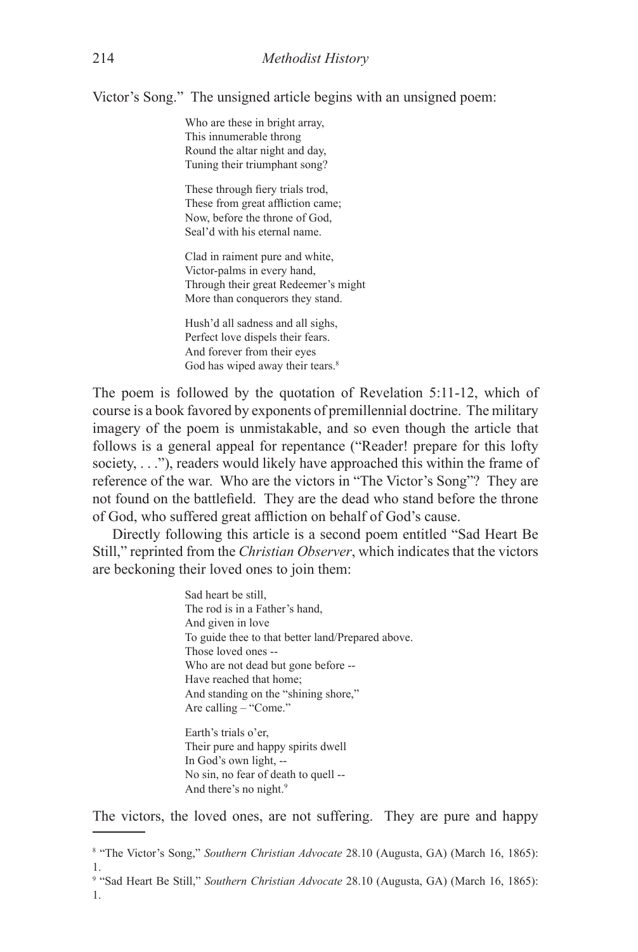Victor's Song." The unsigned article begins with an unsigned poem:

Who are these in bright array, This innumerable throng Round the altar night and day, Tuning their triumphant song?

These through fiery trials trod, These from great affliction came; Now, before the throne of God, Seal'd with his eternal name.

Clad in raiment pure and white, Victor-palms in every hand, Through their great Redeemer's might More than conquerors they stand.

Hush'd all sadness and all sighs, Perfect love dispels their fears. And forever from their eyes God has wiped away their tears.<sup>8</sup>

The poem is followed by the quotation of Revelation 5:11-12, which of course is a book favored by exponents of premillennial doctrine. The military imagery of the poem is unmistakable, and so even though the article that follows is a general appeal for repentance ("Reader! prepare for this lofty society, . . ."), readers would likely have approached this within the frame of reference of the war. Who are the victors in "The Victor's Song"? They are not found on the battlefield. They are the dead who stand before the throne of God, who suffered great affliction on behalf of God's cause.

Directly following this article is a second poem entitled "Sad Heart Be Still," reprinted from the *Christian Observer*, which indicates that the victors are beckoning their loved ones to join them:

> Sad heart be still, The rod is in a Father's hand, And given in love To guide thee to that better land/Prepared above. Those loved ones -- Who are not dead but gone before -- Have reached that home; And standing on the "shining shore," Are calling – "Come."

Earth's trials o'er, Their pure and happy spirits dwell In God's own light, -- No sin, no fear of death to quell -- And there's no night.<sup>9</sup>

The victors, the loved ones, are not suffering. They are pure and happy

<sup>8</sup> "The Victor's Song," *Southern Christian Advocate* 28.10 (Augusta, GA) (March 16, 1865): 1.

<sup>9</sup> "Sad Heart Be Still," *Southern Christian Advocate* 28.10 (Augusta, GA) (March 16, 1865): 1.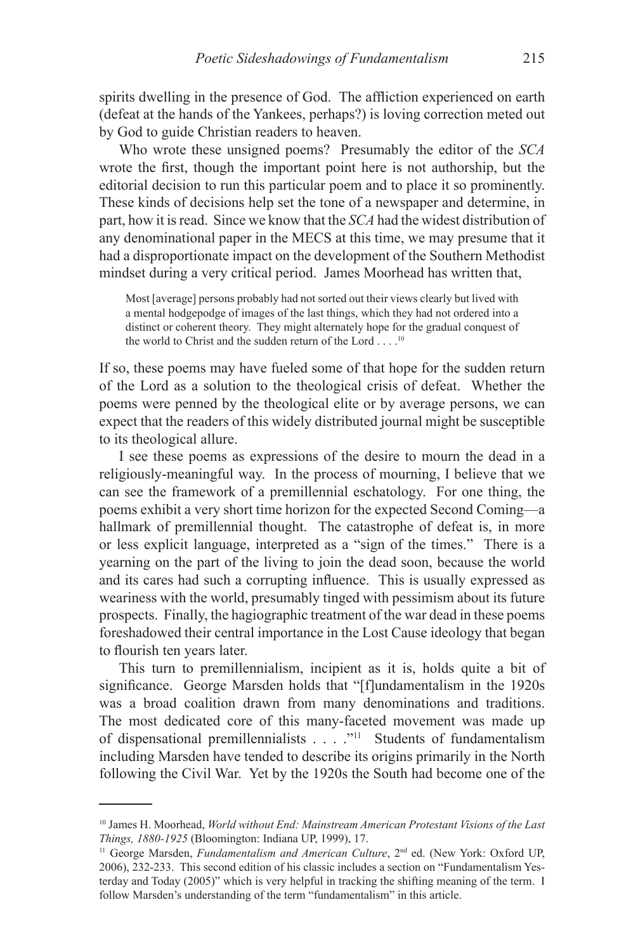spirits dwelling in the presence of God. The affliction experienced on earth (defeat at the hands of the Yankees, perhaps?) is loving correction meted out by God to guide Christian readers to heaven.

Who wrote these unsigned poems? Presumably the editor of the *SCA* wrote the first, though the important point here is not authorship, but the editorial decision to run this particular poem and to place it so prominently. These kinds of decisions help set the tone of a newspaper and determine, in part, how it is read. Since we know that the *SCA* had the widest distribution of any denominational paper in the MECS at this time, we may presume that it had a disproportionate impact on the development of the Southern Methodist mindset during a very critical period. James Moorhead has written that,

Most [average] persons probably had not sorted out their views clearly but lived with a mental hodgepodge of images of the last things, which they had not ordered into a distinct or coherent theory. They might alternately hope for the gradual conquest of the world to Christ and the sudden return of the Lord . . . .10

If so, these poems may have fueled some of that hope for the sudden return of the Lord as a solution to the theological crisis of defeat. Whether the poems were penned by the theological elite or by average persons, we can expect that the readers of this widely distributed journal might be susceptible to its theological allure.

I see these poems as expressions of the desire to mourn the dead in a religiously-meaningful way. In the process of mourning, I believe that we can see the framework of a premillennial eschatology. For one thing, the poems exhibit a very short time horizon for the expected Second Coming—a hallmark of premillennial thought. The catastrophe of defeat is, in more or less explicit language, interpreted as a "sign of the times." There is a yearning on the part of the living to join the dead soon, because the world and its cares had such a corrupting influence. This is usually expressed as weariness with the world, presumably tinged with pessimism about its future prospects. Finally, the hagiographic treatment of the war dead in these poems foreshadowed their central importance in the Lost Cause ideology that began to flourish ten years later.

This turn to premillennialism, incipient as it is, holds quite a bit of significance. George Marsden holds that "[f]undamentalism in the 1920s was a broad coalition drawn from many denominations and traditions. The most dedicated core of this many-faceted movement was made up of dispensational premillennialists . . . . "<sup>11</sup> Students of fundamentalism including Marsden have tended to describe its origins primarily in the North following the Civil War. Yet by the 1920s the South had become one of the

<sup>10</sup> James H. Moorhead, *World without End: Mainstream American Protestant Visions of the Last Things, 1880-1925* (Bloomington: Indiana UP, 1999), 17.

<sup>&</sup>lt;sup>11</sup> George Marsden, *Fundamentalism and American Culture*, 2<sup>nd</sup> ed. (New York: Oxford UP, 2006), 232-233. This second edition of his classic includes a section on "Fundamentalism Yesterday and Today (2005)" which is very helpful in tracking the shifting meaning of the term. I follow Marsden's understanding of the term "fundamentalism" in this article.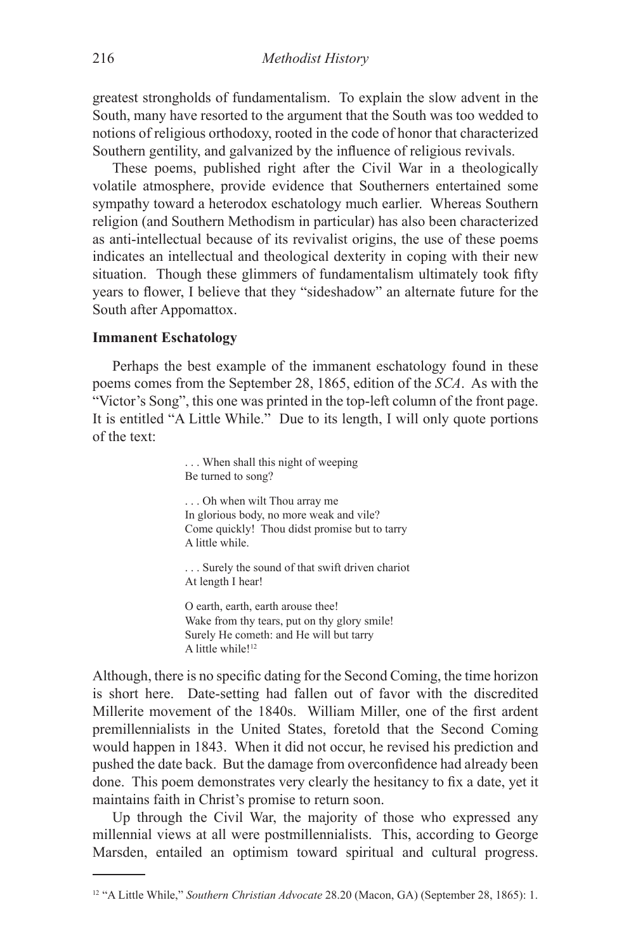greatest strongholds of fundamentalism. To explain the slow advent in the South, many have resorted to the argument that the South was too wedded to notions of religious orthodoxy, rooted in the code of honor that characterized Southern gentility, and galvanized by the influence of religious revivals.

These poems, published right after the Civil War in a theologically volatile atmosphere, provide evidence that Southerners entertained some sympathy toward a heterodox eschatology much earlier. Whereas Southern religion (and Southern Methodism in particular) has also been characterized as anti-intellectual because of its revivalist origins, the use of these poems indicates an intellectual and theological dexterity in coping with their new situation. Though these glimmers of fundamentalism ultimately took fifty years to flower, I believe that they "sideshadow" an alternate future for the South after Appomattox.

### **Immanent Eschatology**

Perhaps the best example of the immanent eschatology found in these poems comes from the September 28, 1865, edition of the *SCA*. As with the "Victor's Song", this one was printed in the top-left column of the front page. It is entitled "A Little While." Due to its length, I will only quote portions of the text:

> . . . When shall this night of weeping Be turned to song?

. . . Oh when wilt Thou array me In glorious body, no more weak and vile? Come quickly! Thou didst promise but to tarry A little while.

. . . Surely the sound of that swift driven chariot At length I hear!

O earth, earth, earth arouse thee! Wake from thy tears, put on thy glory smile! Surely He cometh: and He will but tarry A little while!<sup>12</sup>

Although, there is no specific dating for the Second Coming, the time horizon is short here. Date-setting had fallen out of favor with the discredited Millerite movement of the 1840s. William Miller, one of the first ardent premillennialists in the United States, foretold that the Second Coming would happen in 1843. When it did not occur, he revised his prediction and pushed the date back. But the damage from overconfidence had already been done. This poem demonstrates very clearly the hesitancy to fix a date, yet it maintains faith in Christ's promise to return soon.

Up through the Civil War, the majority of those who expressed any millennial views at all were postmillennialists. This, according to George Marsden, entailed an optimism toward spiritual and cultural progress.

<sup>12 &</sup>quot;A Little While," *Southern Christian Advocate* 28.20 (Macon, GA) (September 28, 1865): 1.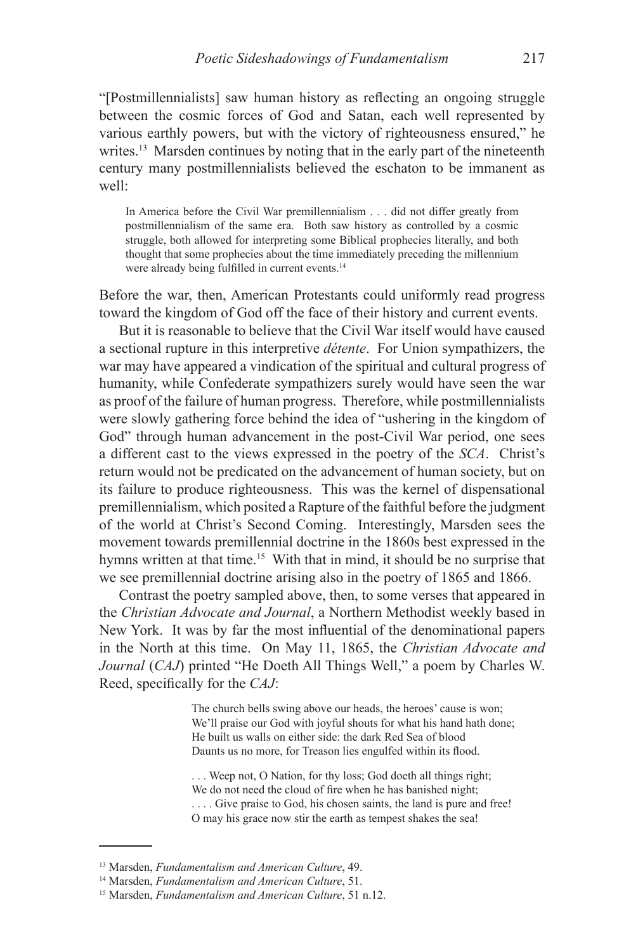"[Postmillennialists] saw human history as reflecting an ongoing struggle between the cosmic forces of God and Satan, each well represented by various earthly powers, but with the victory of righteousness ensured," he writes.<sup>13</sup> Marsden continues by noting that in the early part of the nineteenth century many postmillennialists believed the eschaton to be immanent as well:

In America before the Civil War premillennialism . . . did not differ greatly from postmillennialism of the same era. Both saw history as controlled by a cosmic struggle, both allowed for interpreting some Biblical prophecies literally, and both thought that some prophecies about the time immediately preceding the millennium were already being fulfilled in current events.<sup>14</sup>

Before the war, then, American Protestants could uniformly read progress toward the kingdom of God off the face of their history and current events.

But it is reasonable to believe that the Civil War itself would have caused a sectional rupture in this interpretive *détente*. For Union sympathizers, the war may have appeared a vindication of the spiritual and cultural progress of humanity, while Confederate sympathizers surely would have seen the war as proof of the failure of human progress. Therefore, while postmillennialists were slowly gathering force behind the idea of "ushering in the kingdom of God" through human advancement in the post-Civil War period, one sees a different cast to the views expressed in the poetry of the *SCA*. Christ's return would not be predicated on the advancement of human society, but on its failure to produce righteousness. This was the kernel of dispensational premillennialism, which posited a Rapture of the faithful before the judgment of the world at Christ's Second Coming. Interestingly, Marsden sees the movement towards premillennial doctrine in the 1860s best expressed in the hymns written at that time.<sup>15</sup> With that in mind, it should be no surprise that we see premillennial doctrine arising also in the poetry of 1865 and 1866.

Contrast the poetry sampled above, then, to some verses that appeared in the *Christian Advocate and Journal*, a Northern Methodist weekly based in New York. It was by far the most influential of the denominational papers in the North at this time. On May 11, 1865, the *Christian Advocate and Journal* (*CAJ*) printed "He Doeth All Things Well," a poem by Charles W. Reed, specifically for the *CAJ*:

> The church bells swing above our heads, the heroes' cause is won; We'll praise our God with joyful shouts for what his hand hath done; He built us walls on either side: the dark Red Sea of blood Daunts us no more, for Treason lies engulfed within its flood.

> . . . Weep not, O Nation, for thy loss; God doeth all things right; We do not need the cloud of fire when he has banished night; . . . . Give praise to God, his chosen saints, the land is pure and free! O may his grace now stir the earth as tempest shakes the sea!

<sup>13</sup> Marsden, *Fundamentalism and American Culture*, 49.

<sup>14</sup> Marsden, *Fundamentalism and American Culture*, 51.

<sup>15</sup> Marsden, *Fundamentalism and American Culture*, 51 n.12.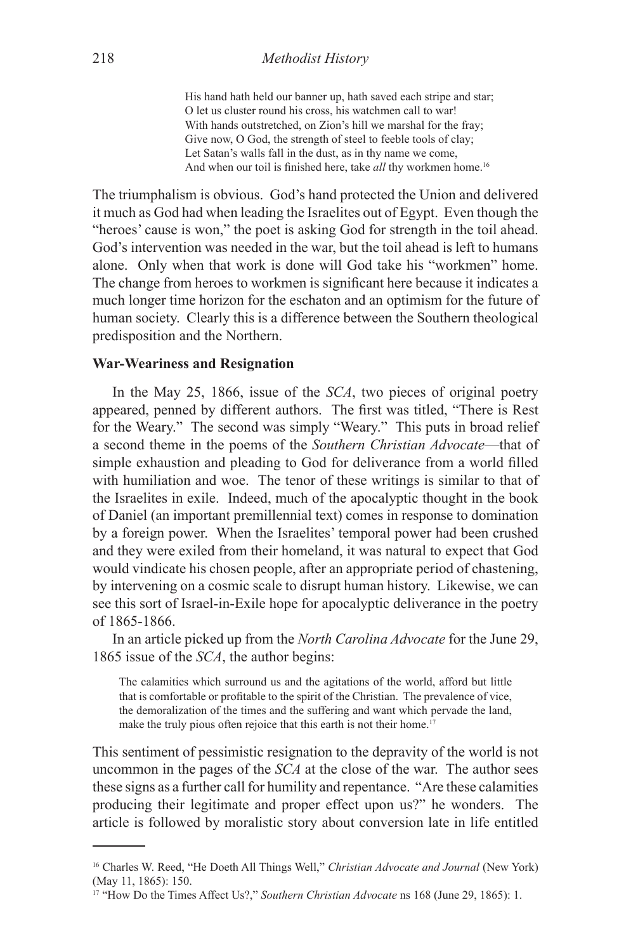His hand hath held our banner up, hath saved each stripe and star; O let us cluster round his cross, his watchmen call to war! With hands outstretched, on Zion's hill we marshal for the fray; Give now, O God, the strength of steel to feeble tools of clay; Let Satan's walls fall in the dust, as in thy name we come, And when our toil is finished here, take *all* thy workmen home.<sup>16</sup>

The triumphalism is obvious. God's hand protected the Union and delivered it much as God had when leading the Israelites out of Egypt. Even though the "heroes' cause is won," the poet is asking God for strength in the toil ahead. God's intervention was needed in the war, but the toil ahead is left to humans alone. Only when that work is done will God take his "workmen" home. The change from heroes to workmen is significant here because it indicates a much longer time horizon for the eschaton and an optimism for the future of human society. Clearly this is a difference between the Southern theological predisposition and the Northern.

### **War-Weariness and Resignation**

In the May 25, 1866, issue of the *SCA*, two pieces of original poetry appeared, penned by different authors. The first was titled, "There is Rest for the Weary." The second was simply "Weary." This puts in broad relief a second theme in the poems of the *Southern Christian Advocate*—that of simple exhaustion and pleading to God for deliverance from a world filled with humiliation and woe. The tenor of these writings is similar to that of the Israelites in exile. Indeed, much of the apocalyptic thought in the book of Daniel (an important premillennial text) comes in response to domination by a foreign power. When the Israelites' temporal power had been crushed and they were exiled from their homeland, it was natural to expect that God would vindicate his chosen people, after an appropriate period of chastening, by intervening on a cosmic scale to disrupt human history. Likewise, we can see this sort of Israel-in-Exile hope for apocalyptic deliverance in the poetry of 1865-1866.

In an article picked up from the *North Carolina Advocate* for the June 29, 1865 issue of the *SCA*, the author begins:

The calamities which surround us and the agitations of the world, afford but little that is comfortable or profitable to the spirit of the Christian. The prevalence of vice, the demoralization of the times and the suffering and want which pervade the land, make the truly pious often rejoice that this earth is not their home.<sup>17</sup>

This sentiment of pessimistic resignation to the depravity of the world is not uncommon in the pages of the *SCA* at the close of the war. The author sees these signs as a further call for humility and repentance. "Are these calamities producing their legitimate and proper effect upon us?" he wonders. The article is followed by moralistic story about conversion late in life entitled

<sup>16</sup> Charles W. Reed, "He Doeth All Things Well," *Christian Advocate and Journal* (New York) (May 11, 1865): 150.

<sup>17 &</sup>quot;How Do the Times Affect Us?," *Southern Christian Advocate* ns 168 (June 29, 1865): 1.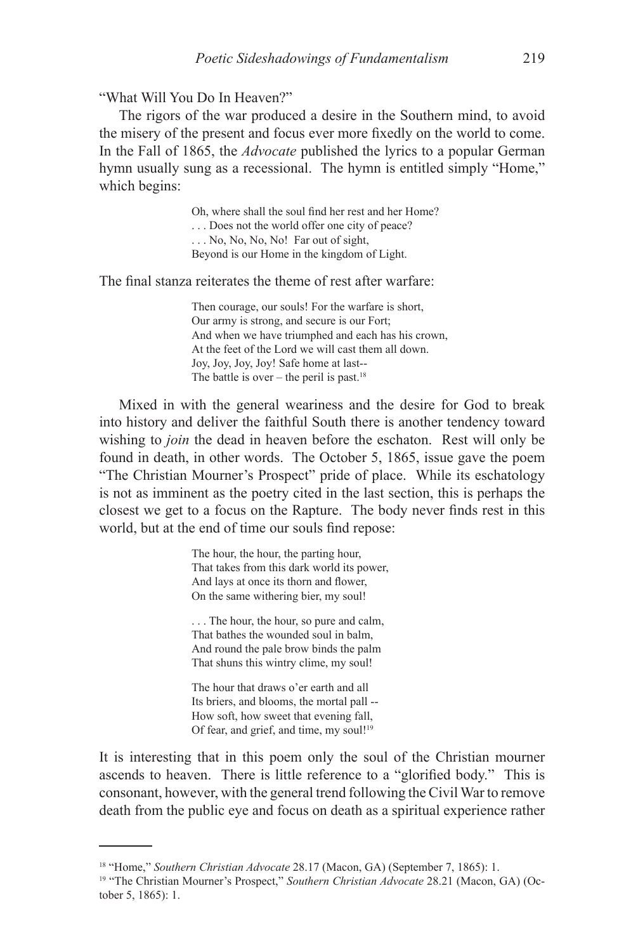"What Will You Do In Heaven?"

The rigors of the war produced a desire in the Southern mind, to avoid the misery of the present and focus ever more fixedly on the world to come. In the Fall of 1865, the *Advocate* published the lyrics to a popular German hymn usually sung as a recessional. The hymn is entitled simply "Home," which begins:

> Oh, where shall the soul find her rest and her Home? . . . Does not the world offer one city of peace? . . . No, No, No, No! Far out of sight, Beyond is our Home in the kingdom of Light.

The final stanza reiterates the theme of rest after warfare:

Then courage, our souls! For the warfare is short, Our army is strong, and secure is our Fort; And when we have triumphed and each has his crown, At the feet of the Lord we will cast them all down. Joy, Joy, Joy, Joy! Safe home at last-- The battle is over – the peril is past.<sup>18</sup>

Mixed in with the general weariness and the desire for God to break into history and deliver the faithful South there is another tendency toward wishing to *join* the dead in heaven before the eschaton. Rest will only be found in death, in other words. The October 5, 1865, issue gave the poem "The Christian Mourner's Prospect" pride of place. While its eschatology is not as imminent as the poetry cited in the last section, this is perhaps the closest we get to a focus on the Rapture. The body never finds rest in this world, but at the end of time our souls find repose:

> The hour, the hour, the parting hour, That takes from this dark world its power, And lays at once its thorn and flower, On the same withering bier, my soul!

. . . The hour, the hour, so pure and calm, That bathes the wounded soul in balm, And round the pale brow binds the palm That shuns this wintry clime, my soul!

The hour that draws o'er earth and all Its briers, and blooms, the mortal pall -- How soft, how sweet that evening fall, Of fear, and grief, and time, my soul!<sup>19</sup>

It is interesting that in this poem only the soul of the Christian mourner ascends to heaven. There is little reference to a "glorified body." This is consonant, however, with the general trend following the Civil War to remove death from the public eye and focus on death as a spiritual experience rather

<sup>18 &</sup>quot;Home," *Southern Christian Advocate* 28.17 (Macon, GA) (September 7, 1865): 1.

<sup>19 &</sup>quot;The Christian Mourner's Prospect," *Southern Christian Advocate* 28.21 (Macon, GA) (October 5, 1865): 1.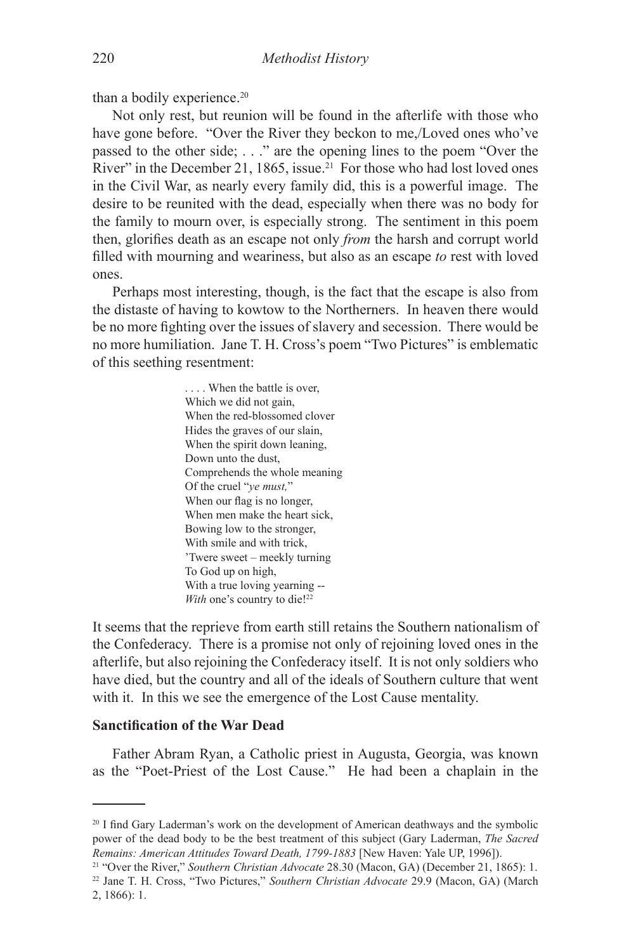than a bodily experience.<sup>20</sup>

Not only rest, but reunion will be found in the afterlife with those who have gone before. "Over the River they beckon to me,/Loved ones who've passed to the other side; . . ." are the opening lines to the poem "Over the River" in the December 21, 1865, issue.<sup>21</sup> For those who had lost loved ones in the Civil War, as nearly every family did, this is a powerful image. The desire to be reunited with the dead, especially when there was no body for the family to mourn over, is especially strong. The sentiment in this poem then, glorifies death as an escape not only *from* the harsh and corrupt world filled with mourning and weariness, but also as an escape *to* rest with loved ones.

Perhaps most interesting, though, is the fact that the escape is also from the distaste of having to kowtow to the Northerners. In heaven there would be no more fighting over the issues of slavery and secession. There would be no more humiliation. Jane T. H. Cross's poem "Two Pictures" is emblematic of this seething resentment:

> . . . . When the battle is over, Which we did not gain, When the red-blossomed clover Hides the graves of our slain, When the spirit down leaning, Down unto the dust, Comprehends the whole meaning Of the cruel "*ye must,*" When our flag is no longer, When men make the heart sick, Bowing low to the stronger, With smile and with trick, 'Twere sweet – meekly turning To God up on high, With a true loving yearning -- *With* one's country to die!<sup>22</sup>

It seems that the reprieve from earth still retains the Southern nationalism of the Confederacy. There is a promise not only of rejoining loved ones in the afterlife, but also rejoining the Confederacy itself. It is not only soldiers who have died, but the country and all of the ideals of Southern culture that went with it. In this we see the emergence of the Lost Cause mentality.

#### **Sanctification of the War Dead**

Father Abram Ryan, a Catholic priest in Augusta, Georgia, was known as the "Poet-Priest of the Lost Cause." He had been a chaplain in the

<sup>&</sup>lt;sup>20</sup> I find Gary Laderman's work on the development of American deathways and the symbolic power of the dead body to be the best treatment of this subject (Gary Laderman, *The Sacred Remains: American Attitudes Toward Death, 1799-1883* [New Haven: Yale UP, 1996]).

<sup>21 &</sup>quot;Over the River," *Southern Christian Advocate* 28.30 (Macon, GA) (December 21, 1865): 1.

<sup>22</sup> Jane T. H. Cross, "Two Pictures," *Southern Christian Advocate* 29.9 (Macon, GA) (March 2, 1866): 1.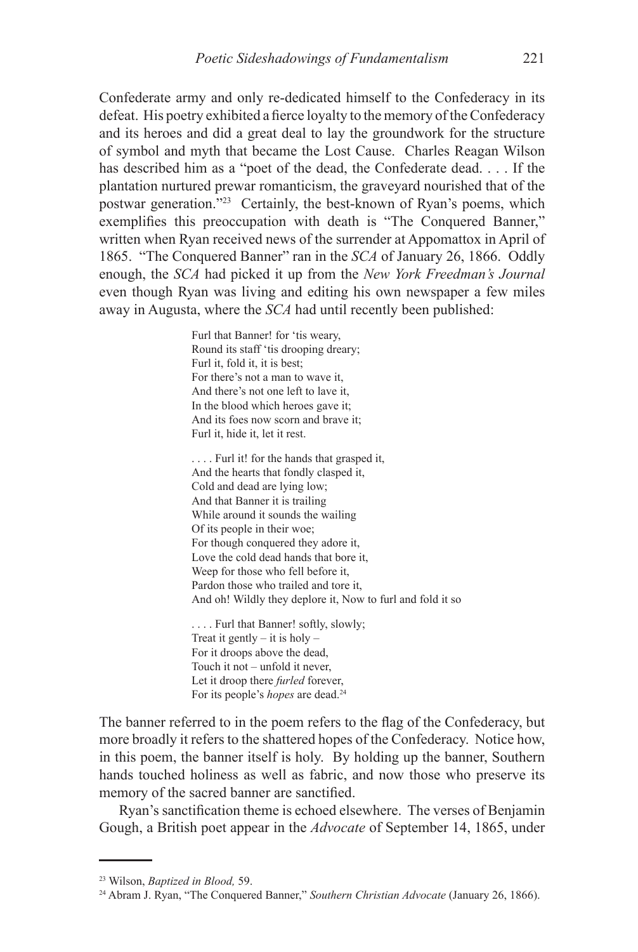Confederate army and only re-dedicated himself to the Confederacy in its defeat. His poetry exhibited a fierce loyalty to the memory of the Confederacy and its heroes and did a great deal to lay the groundwork for the structure of symbol and myth that became the Lost Cause. Charles Reagan Wilson has described him as a "poet of the dead, the Confederate dead. . . . If the plantation nurtured prewar romanticism, the graveyard nourished that of the postwar generation."23 Certainly, the best-known of Ryan's poems, which exemplifies this preoccupation with death is "The Conquered Banner," written when Ryan received news of the surrender at Appomattox in April of 1865. "The Conquered Banner" ran in the *SCA* of January 26, 1866. Oddly enough, the *SCA* had picked it up from the *New York Freedman's Journal* even though Ryan was living and editing his own newspaper a few miles away in Augusta, where the *SCA* had until recently been published:

> Furl that Banner! for 'tis weary, Round its staff 'tis drooping dreary; Furl it, fold it, it is best; For there's not a man to wave it, And there's not one left to lave it, In the blood which heroes gave it; And its foes now scorn and brave it; Furl it, hide it, let it rest.

. . . . Furl it! for the hands that grasped it, And the hearts that fondly clasped it, Cold and dead are lying low; And that Banner it is trailing While around it sounds the wailing Of its people in their woe; For though conquered they adore it, Love the cold dead hands that bore it, Weep for those who fell before it, Pardon those who trailed and tore it, And oh! Wildly they deplore it, Now to furl and fold it so

. . . . Furl that Banner! softly, slowly; Treat it gently  $-$  it is holy  $-$ For it droops above the dead, Touch it not – unfold it never, Let it droop there *furled* forever, For its people's *hopes* are dead.<sup>24</sup>

The banner referred to in the poem refers to the flag of the Confederacy, but more broadly it refers to the shattered hopes of the Confederacy. Notice how, in this poem, the banner itself is holy. By holding up the banner, Southern hands touched holiness as well as fabric, and now those who preserve its memory of the sacred banner are sanctified.

Ryan's sanctification theme is echoed elsewhere. The verses of Benjamin Gough, a British poet appear in the *Advocate* of September 14, 1865, under

<sup>23</sup> Wilson, *Baptized in Blood,* 59.

<sup>24</sup> Abram J. Ryan, "The Conquered Banner," *Southern Christian Advocate* (January 26, 1866).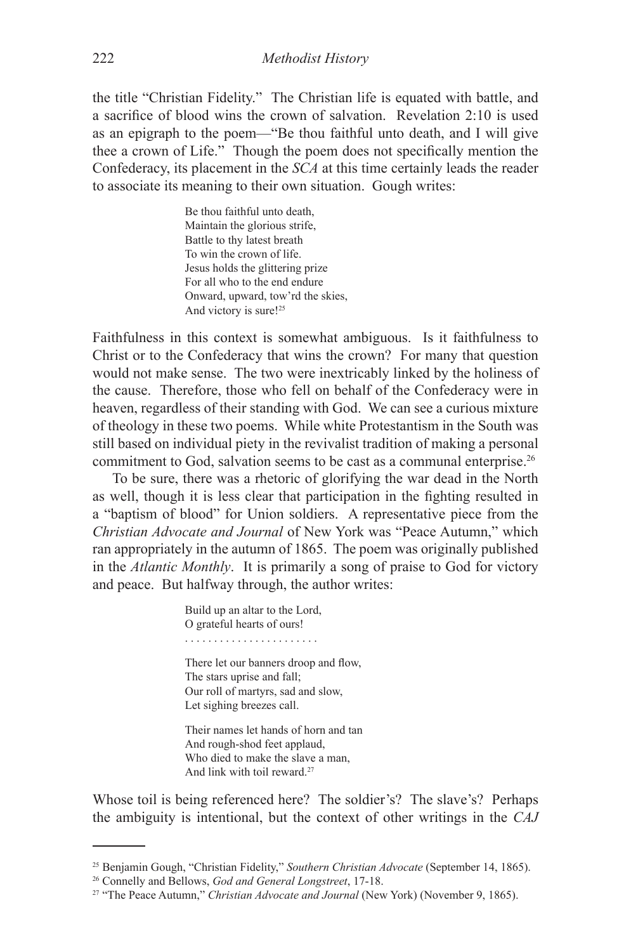the title "Christian Fidelity." The Christian life is equated with battle, and a sacrifice of blood wins the crown of salvation. Revelation 2:10 is used as an epigraph to the poem—"Be thou faithful unto death, and I will give thee a crown of Life." Though the poem does not specifically mention the Confederacy, its placement in the *SCA* at this time certainly leads the reader to associate its meaning to their own situation. Gough writes:

> Be thou faithful unto death, Maintain the glorious strife, Battle to thy latest breath To win the crown of life. Jesus holds the glittering prize For all who to the end endure Onward, upward, tow'rd the skies, And victory is sure!<sup>25</sup>

Faithfulness in this context is somewhat ambiguous. Is it faithfulness to Christ or to the Confederacy that wins the crown? For many that question would not make sense. The two were inextricably linked by the holiness of the cause. Therefore, those who fell on behalf of the Confederacy were in heaven, regardless of their standing with God. We can see a curious mixture of theology in these two poems. While white Protestantism in the South was still based on individual piety in the revivalist tradition of making a personal commitment to God, salvation seems to be cast as a communal enterprise.26

To be sure, there was a rhetoric of glorifying the war dead in the North as well, though it is less clear that participation in the fighting resulted in a "baptism of blood" for Union soldiers. A representative piece from the *Christian Advocate and Journal* of New York was "Peace Autumn," which ran appropriately in the autumn of 1865. The poem was originally published in the *Atlantic Monthly*. It is primarily a song of praise to God for victory and peace. But halfway through, the author writes:

> Build up an altar to the Lord, O grateful hearts of ours! . . . . . . . . . . . . . . . . . . . . . . . There let our banners droop and flow,

The stars uprise and fall; Our roll of martyrs, sad and slow, Let sighing breezes call.

Their names let hands of horn and tan And rough-shod feet applaud, Who died to make the slave a man, And link with toil reward.27

Whose toil is being referenced here? The soldier's? The slave's? Perhaps the ambiguity is intentional, but the context of other writings in the *CAJ*

<sup>25</sup> Benjamin Gough, "Christian Fidelity," *Southern Christian Advocate* (September 14, 1865). 26 Connelly and Bellows, *God and General Longstreet*, 17-18.

<sup>&</sup>lt;sup>27</sup> "The Peace Autumn," *Christian Advocate and Journal* (New York) (November 9, 1865).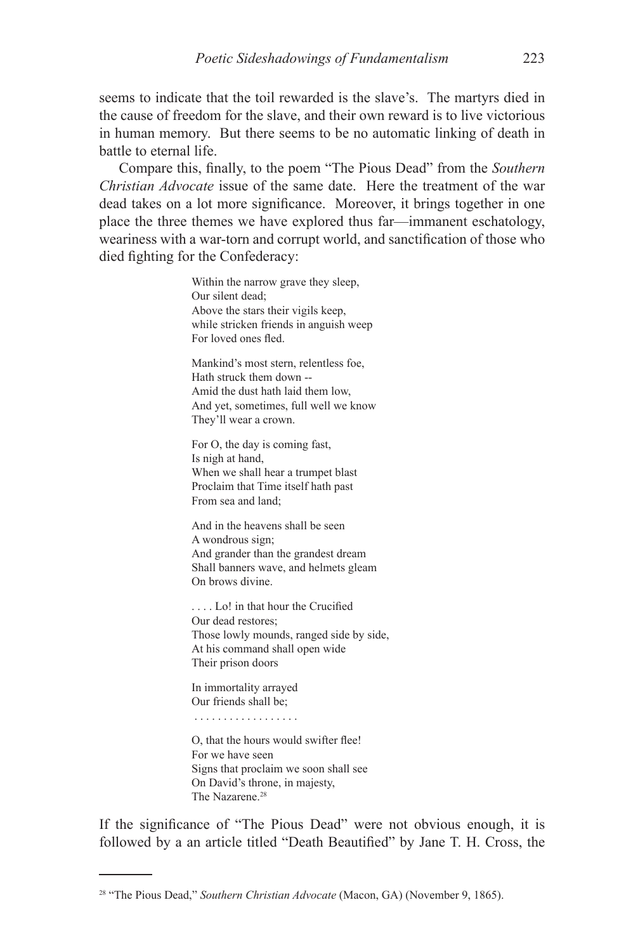seems to indicate that the toil rewarded is the slave's. The martyrs died in the cause of freedom for the slave, and their own reward is to live victorious in human memory. But there seems to be no automatic linking of death in battle to eternal life.

Compare this, finally, to the poem "The Pious Dead" from the *Southern Christian Advocate* issue of the same date. Here the treatment of the war dead takes on a lot more significance. Moreover, it brings together in one place the three themes we have explored thus far—immanent eschatology, weariness with a war-torn and corrupt world, and sanctification of those who died fighting for the Confederacy:

> Within the narrow grave they sleep, Our silent dead; Above the stars their vigils keep, while stricken friends in anguish weep For loved ones fled.

Mankind's most stern, relentless foe, Hath struck them down -- Amid the dust hath laid them low, And yet, sometimes, full well we know They'll wear a crown.

For O, the day is coming fast, Is nigh at hand, When we shall hear a trumpet blast Proclaim that Time itself hath past From sea and land;

And in the heavens shall be seen A wondrous sign; And grander than the grandest dream Shall banners wave, and helmets gleam On brows divine.

. . . . Lo! in that hour the Crucified Our dead restores; Those lowly mounds, ranged side by side, At his command shall open wide Their prison doors

In immortality arrayed Our friends shall be;

. . . . . . . . . . . . . . . . . .

O, that the hours would swifter flee! For we have seen Signs that proclaim we soon shall see On David's throne, in majesty, The Nazarene.<sup>28</sup>

If the significance of "The Pious Dead" were not obvious enough, it is followed by a an article titled "Death Beautified" by Jane T. H. Cross, the

<sup>28 &</sup>quot;The Pious Dead," *Southern Christian Advocate* (Macon, GA) (November 9, 1865).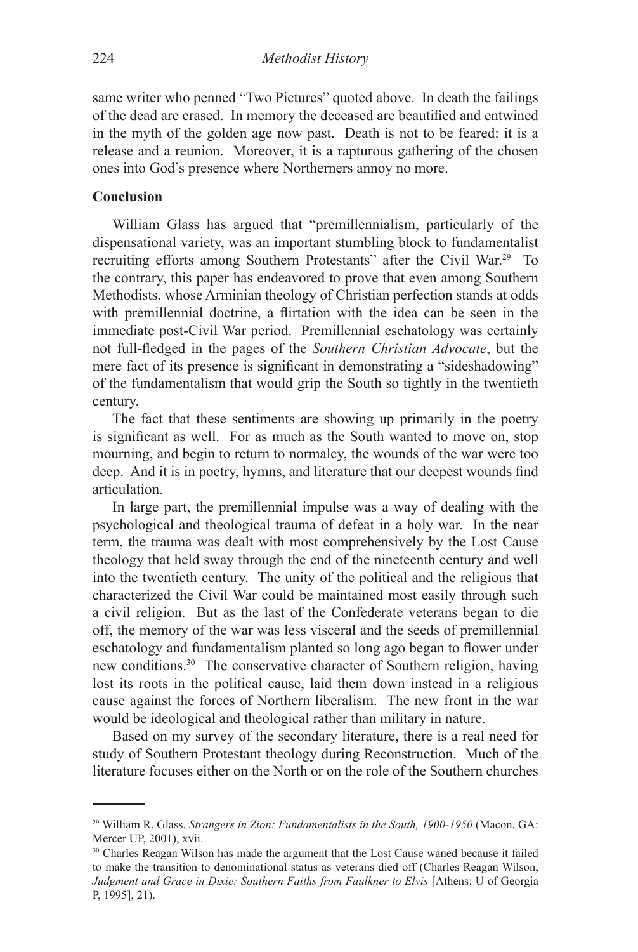same writer who penned "Two Pictures" quoted above. In death the failings of the dead are erased. In memory the deceased are beautified and entwined in the myth of the golden age now past. Death is not to be feared: it is a release and a reunion. Moreover, it is a rapturous gathering of the chosen ones into God's presence where Northerners annoy no more.

### **Conclusion**

William Glass has argued that "premillennialism, particularly of the dispensational variety, was an important stumbling block to fundamentalist recruiting efforts among Southern Protestants" after the Civil War.29 To the contrary, this paper has endeavored to prove that even among Southern Methodists, whose Arminian theology of Christian perfection stands at odds with premillennial doctrine, a flirtation with the idea can be seen in the immediate post-Civil War period. Premillennial eschatology was certainly not full-fledged in the pages of the *Southern Christian Advocate*, but the mere fact of its presence is significant in demonstrating a "sideshadowing" of the fundamentalism that would grip the South so tightly in the twentieth century.

The fact that these sentiments are showing up primarily in the poetry is significant as well. For as much as the South wanted to move on, stop mourning, and begin to return to normalcy, the wounds of the war were too deep. And it is in poetry, hymns, and literature that our deepest wounds find articulation.

In large part, the premillennial impulse was a way of dealing with the psychological and theological trauma of defeat in a holy war. In the near term, the trauma was dealt with most comprehensively by the Lost Cause theology that held sway through the end of the nineteenth century and well into the twentieth century. The unity of the political and the religious that characterized the Civil War could be maintained most easily through such a civil religion. But as the last of the Confederate veterans began to die off, the memory of the war was less visceral and the seeds of premillennial eschatology and fundamentalism planted so long ago began to flower under new conditions.30 The conservative character of Southern religion, having lost its roots in the political cause, laid them down instead in a religious cause against the forces of Northern liberalism. The new front in the war would be ideological and theological rather than military in nature.

Based on my survey of the secondary literature, there is a real need for study of Southern Protestant theology during Reconstruction. Much of the literature focuses either on the North or on the role of the Southern churches

<sup>29</sup> William R. Glass, *Strangers in Zion: Fundamentalists in the South, 1900-1950* (Macon, GA: Mercer UP, 2001), xvii.

<sup>&</sup>lt;sup>30</sup> Charles Reagan Wilson has made the argument that the Lost Cause waned because it failed to make the transition to denominational status as veterans died off (Charles Reagan Wilson, *Judgment and Grace in Dixie: Southern Faiths from Faulkner to Elvis* [Athens: U of Georgia P, 1995], 21).